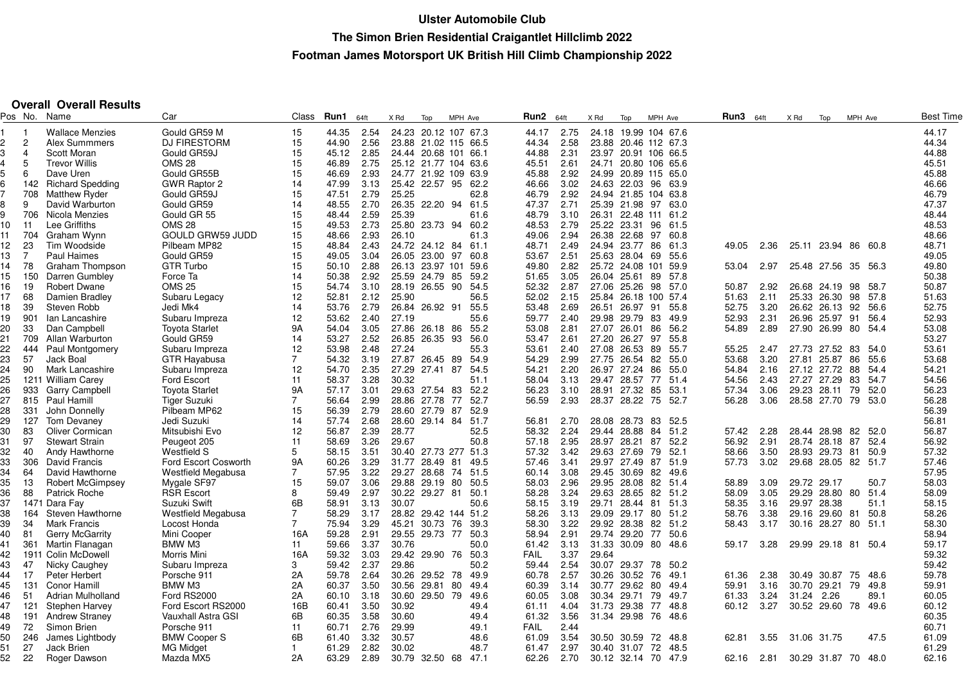## **Overall Overall Results**

| Pos No. |                | Name                    | Car                       | Class          | Run1  | 64ft | X Rd            | Top      | MPH Ave              | Run2        | 64ft | X Rd  | Top            | MPH Ave              | Run3  | 64ft       | X Rd  | Top                 | MPH Ave |      | Best Time |
|---------|----------------|-------------------------|---------------------------|----------------|-------|------|-----------------|----------|----------------------|-------------|------|-------|----------------|----------------------|-------|------------|-------|---------------------|---------|------|-----------|
|         |                | <b>Wallace Menzies</b>  | Gould GR59 M              | 15             | 44.35 | 2.54 |                 |          | 24.23 20.12 107 67.3 | 44.17       | 2.75 |       |                | 24.18 19.99 104 67.6 |       |            |       |                     |         |      | 44.17     |
| 2       | $\overline{2}$ | <b>Alex Summmers</b>    | <b>DJ FIRESTORM</b>       | 15             | 44.90 | 2.56 |                 |          | 23.88 21.02 115 66.5 | 44.34       | 2.58 |       |                | 23.88 20.46 112 67.3 |       |            |       |                     |         |      | 44.34     |
|         | 4              | Scott Moran             | Gould GR59J               | 15             | 45.12 | 2.85 | 24.44 20.68 101 |          | 66.1                 | 44.88       | 2.31 |       |                | 23.97 20.91 106 66.5 |       |            |       |                     |         |      | 44.88     |
| 4       | 5              | <b>Trevor Willis</b>    | <b>OMS 28</b>             | 15             | 46.89 | 2.75 | 25.12 21.77 104 |          | 63.6                 | 45.51       | 2.61 |       |                | 24.71 20.80 106 65.6 |       |            |       |                     |         |      | 45.51     |
|         | 6              | Dave Uren               | Gould GR55B               | 15             | 46.69 | 2.93 | 24.77 21.92 109 |          | 63.9                 | 45.88       | 2.92 |       |                | 24.99 20.89 115 65.0 |       |            |       |                     |         |      | 45.88     |
|         | 142            | <b>Richard Spedding</b> | <b>GWR Raptor 2</b>       | 14             | 47.99 | 3.13 | 25.42 22.57 95  |          | 62.2                 | 46.66       | 3.02 |       | 24.63 22.03 96 | 63.9                 |       |            |       |                     |         |      | 46.66     |
|         | 708            | Matthew Ryder           | Gould GR59J               | 15             | 47.51 | 2.79 | 25.25           |          | 62.8                 | 46.79       | 2.92 |       |                | 24.94 21.85 104 63.8 |       |            |       |                     |         |      | 46.79     |
|         | 9              | David Warburton         | Gould GR59                | 14             | 48.55 | 2.70 | 26.35 22.20 94  |          | 61.5                 | 47.37       | 2.71 |       |                | 25.39 21.98 97 63.0  |       |            |       |                     |         |      | 47.37     |
| g       | 706            | Nicola Menzies          | Gould GR 55               | 15             | 48.44 | 2.59 | 25.39           |          | 61.6                 | 48.79       | 3.10 |       |                | 26.31 22.48 111 61.2 |       |            |       |                     |         |      | 48.44     |
| 10      | 11             | Lee Griffiths           | <b>OMS 28</b>             | 15             | 49.53 | 2.73 | 25.80 23.73 94  |          | 60.2                 | 48.53       | 2.79 |       | 25.22 23.31    | 96<br>61.5           |       |            |       |                     |         |      | 48.53     |
| 11      | 704            | Graham Wynn             | GOULD GRW59 JUDD          | 15             | 48.66 | 2.93 | 26.10           |          | 61.3                 | 49.06       | 2.94 |       | 26.38 22.68    | 97<br>60.8           |       |            |       |                     |         |      | 48.66     |
| 12      | 23             | Tim Woodside            | Pilbeam MP82              | 15             | 48.84 | 2.43 | 24.72 24.12 84  |          | 61.1                 | 48.71       | 2.49 |       | 24.94 23.77 86 | 61.3                 | 49.05 | 2.36       |       | 25.11 23.94 86      |         | 60.8 | 48.71     |
| 13      | $\overline{7}$ | Paul Haimes             | Gould GR59                | 15             | 49.05 | 3.04 | 26.05 23.00 97  |          | 60.8                 | 53.67       | 2.51 |       | 25.63 28.04 69 | 55.6                 |       |            |       |                     |         |      | 49.05     |
| 14      | 78             | Graham Thompson         | GTR Turbo                 | 15             | 50.10 | 2.88 | 26.13 23.97 101 |          | 59.6                 | 49.80       | 2.82 |       |                | 25.72 24.08 101 59.9 | 53.04 | 2.97       |       | 25.48 27.56 35      |         | 56.3 | 49.80     |
| 15      | 150            | Darren Gumbley          | Force Ta                  | 14             | 50.38 | 2.92 | 25.59 24.79 85  |          | 59.2                 | 51.65       | 3.05 |       | 26.04 25.61    | 89<br>57.8           |       |            |       |                     |         |      | 50.38     |
| 16      | -19            | <b>Robert Dwane</b>     | <b>OMS 25</b>             | 15             | 54.74 | 3.10 | 28.19 26.55 90  |          | 54.5                 | 52.32       | 2.87 |       |                | 27.06 25.26 98 57.0  | 50.87 | 2.92       |       | 26.68 24.19 98      |         | 58.7 | 50.87     |
| 17      | 68             | Damien Bradley          |                           | 12             | 52.81 | 2.12 | 25.90           |          | 56.5                 | 52.02       | 2.15 |       |                | 25.84 26.18 100 57.4 | 51.63 | 2.11       |       | 25.33 26.30         | 98      | 57.8 | 51.63     |
| 18      | 39             | Steven Robb             | Subaru Legacy<br>Jedi Mk4 | 14             | 53.76 | 2.79 | 26.84 26.92 91  |          | 55.5                 | 53.48       | 2.69 |       | 26.51 26.97    | 91<br>55.8           | 52.75 | 3.20       |       | 26.62 26.13         | 92      | 56.6 | 52.75     |
| 19      | 901            | Ian Lancashire          | Subaru Impreza            | 12             | 53.62 | 2.40 | 27.19           |          | 55.6                 | 59.77       | 2.40 |       | 29.98 29.79    | 83<br>49.9           | 52.93 | 2.31       |       | 26.96 25.97         | 91      | 56.4 | 52.93     |
| 20      | 33             | Dan Campbell            | <b>Toyota Starlet</b>     | 9Α             | 54.04 | 3.05 | 27.86 26.18 86  |          | 55.2                 | 53.08       | 2.81 |       | 27.07 26.01 86 | 56.2                 | 54.89 | 2.89       |       | 27.90 26.99 80      |         | 54.4 | 53.08     |
|         |                |                         | Gould GR59                |                |       |      | 26.85 26.35 93  |          |                      |             |      |       |                |                      |       |            |       |                     |         |      |           |
| 21      | 709            | Allan Warburton         |                           | 14             | 53.27 | 2.52 |                 |          | 56.0                 | 53.47       | 2.61 |       | 27.20 26.27    | 97<br>55.8           |       |            |       |                     |         |      | 53.27     |
| 22      | 444            | Paul Montgomery         | Subaru Impreza            | 12             | 53.98 | 2.48 | 27.24           |          | 55.3                 | 53.61       | 2.40 | 27.08 | 26.53          | 89<br>55.7           | 55.25 | 2.47       |       | 27.73 27.52         | 83      | 54.0 | 53.61     |
| 23      | 57             | Jack Boal               | <b>GTR Havabusa</b>       | $\overline{7}$ | 54.32 | 3.19 | 27.87 26.45 89  |          | 54.9                 | 54.29       | 2.99 |       | 27.75 26.54 82 | 55.0                 | 53.68 | 3.20       |       | 27.81 25.87         | 86      | 55.6 | 53.68     |
| 24      | 90             | Mark Lancashire         | Subaru Impreza            | 12             | 54.70 | 2.35 | 27.29           | 27.41 87 | 54.5                 | 54.21       | 2.20 |       | 26.97 27.24    | 86<br>55.0           | 54.84 | 2.16       |       | 27.12 27.72         | 88      | 54.4 | 54.21     |
| 25      |                | 1211 William Carey      | <b>Ford Escort</b>        | 11             | 58.37 | 3.28 | 30.32           |          | 51.1                 | 58.04       | 3.13 |       | 29.47 28.57 77 | -51.4                | 54.56 | 2.43       |       | 27.27 27.29         | 83      | 54.7 | 54.56     |
| 26      | 933            | <b>Garry Campbell</b>   | <b>Toyota Starlet</b>     | 9Α             | 57.17 | 3.01 | 29.63 27.54 83  |          | 52.2                 | 56.23       | 3.10 |       | 28.91 27.32 85 | 53.1                 | 57.34 | 3.06       |       | 29.23 28.11         | 79      | 52.0 | 56.23     |
| 27      | 815            | Paul Hamill             | <b>Tiger Suzuki</b>       | $\overline{7}$ | 56.64 | 2.99 | 28.86 27.78     |          | 77<br>52.7           | 56.59       | 2.93 |       | 28.37 28.22    | 75<br>52.7           | 56.28 | 3.06       |       | 28.58 27.70 79      |         | 53.0 | 56.28     |
| 28      | 331            | John Donnelly           | Pilbeam MP62              | 15             | 56.39 | 2.79 | 28.60 27.79 87  |          | 52.9                 |             |      |       |                |                      |       |            |       |                     |         |      | 56.39     |
| 29      | 127            | Tom Devaney             | Jedi Suzuki               | 14             | 57.74 | 2.68 | 28.60 29.14 84  |          | 51.7                 | 56.81       | 2.70 |       | 28.08 28.73 83 | -52.5                |       |            |       |                     |         |      | 56.81     |
| 30      | 83             | <b>Oliver Cormican</b>  | Mitsubishi Evo            | 12             | 56.87 | 2.39 | 28.77           |          | 52.5                 | 58.32       | 2.24 |       | 29.44 28.88    | 84<br>51.2           | 57.42 | 2.28       |       | 28.44 28.98         | 82      | 52.0 | 56.87     |
| 31      | 97             | <b>Stewart Strain</b>   | Peugeot 205               | 11             | 58.69 | 3.26 | 29.67           |          | 50.8                 | 57.18       | 2.95 |       | 28.97 28.21    | 87<br>52.2           | 56.92 | 2.91       | 28.74 | 28.18               | 87      | 52.4 | 56.92     |
| 32      | 40             | Andy Hawthorne          | <b>Westfield S</b>        | 5              | 58.15 | 3.51 | 30.40 27.73 277 |          | 51.3                 | 57.32       | 3.42 |       | 29.63 27.69    | 79<br>52.1           | 58.66 | 3.50       |       | 28.93 29.73         | -81     | 50.9 | 57.32     |
| 33      | 306            | David Francis           | Ford Escort Cosworth      | 9Α             | 60.26 | 3.29 | 31.77 28.49 81  |          | 49.5                 | 57.46       | 3.41 |       | 29.97 27.49    | 87<br>51.9           | 57.73 | 3.02       |       | 29.68 28.05 82 51.7 |         |      | 57.46     |
| 34      | 64             | David Hawthorne         | Westfield Megabusa        | 7              | 57.95 | 3.22 | 29.27 28.68 74  |          | 51.5                 | 60.14       | 3.08 |       | 29.45 30.69 82 | 49.6                 |       |            |       |                     |         |      | 57.95     |
| 35      | 13             | <b>Robert McGimpsey</b> | Mygale SF97               | 15             | 59.07 | 3.06 | 29.88 29.19 80  |          | 50.5                 | 58.03       | 2.96 |       | 29.95 28.08    | 82<br>51.4           | 58.89 | 3.09       |       | 29.72 29.17         |         | 50.7 | 58.03     |
| 36      | 88             | <b>Patrick Roche</b>    | <b>RSR Escort</b>         | 8              | 59.49 | 2.97 | 30.22 29.27 81  |          | 50.1                 | 58.28       | 3.24 |       |                | 29.63 28.65 82 51.2  | 58.09 | 3.05       |       | 29.29 28.80 80      |         | 51.4 | 58.09     |
| 37      |                | 1471 Dara Fay           | Suzuki Swift              | 6B             | 58.91 | 3.13 | 30.07           |          | 50.6                 | 58.15       | 3.19 |       | 29.71 28.44 81 | 51.3                 | 58.35 | 3.16       |       | 29.97 28.38         |         | 51.1 | 58.15     |
| 38      | 164            | Steven Hawthorne        | Westfield Megabusa        | 7              | 58.29 | 3.17 | 28.82 29.42 144 |          | 51.2                 | 58.26       | 3.13 |       | 29.09 29.17 80 | 51.2                 | 58.76 | 3.38       |       | 29.16 29.60         | -81     | 50.8 | 58.26     |
| 39      | 34             | Mark Francis            | Locost Honda              | $\overline{7}$ | 75.94 | 3.29 | 45.21 30.73 76  |          | 39.3                 | 58.30       | 3.22 |       |                | 29.92 28.38 82 51.2  | 58.43 | 3.17       |       | 30.16 28.27 80 51.1 |         |      | 58.30     |
| 40      | 81             | <b>Gerry McGarrity</b>  | Mini Cooper               | 16A            | 59.28 | 2.91 | 29.55 29.73 77  |          | 50.3                 | 58.94       | 2.91 |       | 29.74 29.20    | 77<br>50.6           |       |            |       |                     |         |      | 58.94     |
| 41      | 361            | Martin Flanagan         | BMW M3                    | 11             | 59.66 | 3.37 | 30.76           |          | 50.0                 | 61.42       | 3.13 |       |                | 31.33 30.09 80 48.6  | 59.17 | 3.28       |       | 29.99 29.18 81 50.4 |         |      | 59.17     |
| 42      | 1911           | Colin McDowell          | Morris Mini               | 16A            | 59.32 | 3.03 | 29.42 29.90 76  |          | 50.3                 | <b>FAIL</b> | 3.37 | 29.64 |                |                      |       |            |       |                     |         |      | 59.32     |
| 43      | 47             | Nicky Caughey           | Subaru Impreza            | 3              | 59.42 | 2.37 | 29.86           |          | 50.2                 | 59.44       | 2.54 |       | 30.07 29.37 78 | 50.2                 |       |            |       |                     |         |      | 59.42     |
| 44      | 17             | Peter Herbert           | Porsche 911               | 2Α             | 59.78 | 2.64 | 30.26 29.52 78  |          | 49.9                 | 60.78       | 2.57 | 30.26 | 30.52          | 76<br>49.1           | 61.36 | 2.38       |       | 30.49 30.87 75      |         | 48.6 | 59.78     |
| 45      | 131            | Conor Hamill            | BMW M3                    | 2Α             | 60.37 | 3.50 | 30.56 29.81 80  |          | 49.4                 | 60.39       | 3.14 |       | 30.77 29.62    | 80<br>49.4           | 59.91 | 3.16       |       | 30.70 29.21         | 79      | 49.8 | 59.91     |
| 46      | 51             | Adrian Mulholland       | Ford RS2000               | 2Α             | 60.10 | 3.18 | 30.60 29.50 79  |          | 49.6                 | 60.05       | 3.08 |       | 30.34 29.71    | 79<br>49.7           | 61.33 | 3.24       | 31.24 | 2.26                |         | 89.1 | 60.05     |
| 47      | 121            | <b>Stephen Harvey</b>   | Ford Escort RS2000        | 16B            | 60.41 | 3.50 | 30.92           |          | 49.4                 | 61.11       | 4.04 |       | 31.73 29.38    | 77<br>48.8           | 60.12 | 3.27       |       | 30.52 29.60 78      |         | 49.6 | 60.12     |
| 48      | 191            | <b>Andrew Straney</b>   | Vauxhall Astra GSI        | 6B             | 60.35 | 3.58 | 30.60           |          | 49.4                 | 61.32       | 3.56 |       | 31.34 29.98    | 76<br>48.6           |       |            |       |                     |         |      | 60.35     |
| 49      | 72             | Simon Brien             | Porsche 911               | 11             | 60.71 | 2.76 | 29.99           |          | 49.1                 | <b>FAIL</b> | 2.44 |       |                |                      |       |            |       |                     |         |      | 60.71     |
| 50      | 246            | James Lightbody         | <b>BMW Cooper S</b>       | 6B             | 61.40 | 3.32 | 30.57           |          | 48.6                 | 61.09       | 3.54 |       | 30.50 30.59    | 72<br>48.8           | 62.81 | 3.55       |       | 31.06 31.75         |         | 47.5 | 61.09     |
| 51      | 27             | Jack Brien              | <b>MG Midget</b>          | $\mathbf{1}$   | 61.29 | 2.82 | 30.02           |          | 48.7                 | 61.47       | 2.97 |       | 30.40 31.07    | 72<br>48.5           |       |            |       |                     |         |      | 61.29     |
| 52      | 22             | Roger Dawson            | Mazda MX5                 | 2A             | 63.29 | 2.89 | 30.79 32.50 68  |          | 47.1                 | 62.26       | 2.70 |       |                | 30.12 32.14 70 47.9  |       | 62.16 2.81 |       | 30.29 31.87 70 48.0 |         |      | 62.16     |
|         |                |                         |                           |                |       |      |                 |          |                      |             |      |       |                |                      |       |            |       |                     |         |      |           |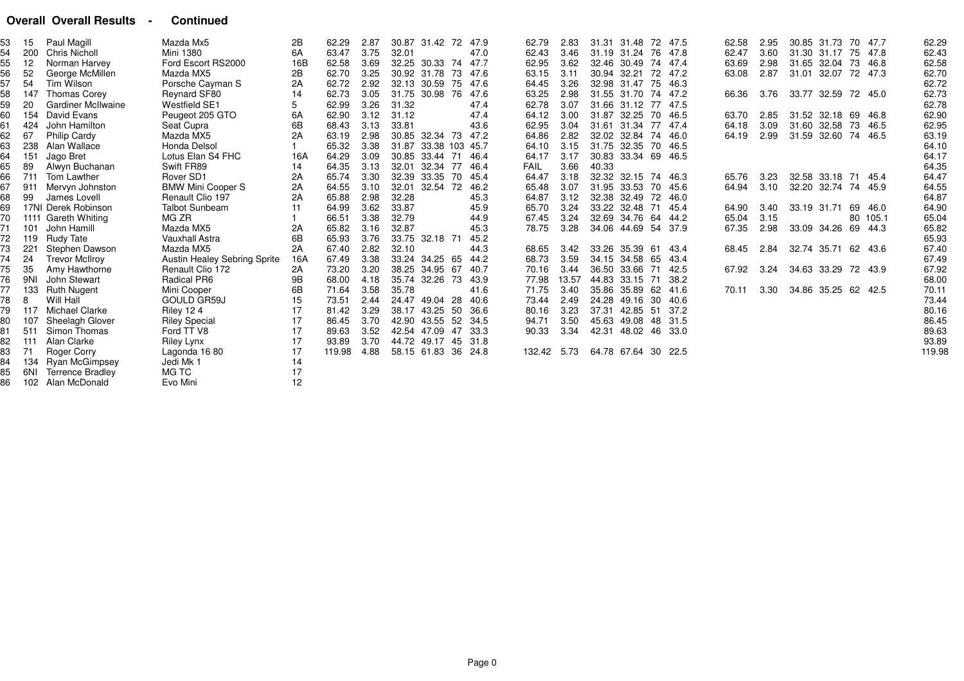### **Overall Overall Results - Continued**

| 53 | 15  | Paul Magill               | Mazda Mx5                           | 2B  | 62.29  | 2.87 |             | 30.87 31.42 72       | 47.9        |      | 62.79       | 2.83  |             | 31.31 31.48    | 72   | 47.5  | 62.58 | 2.95 |                     | 30.85 31.73 70 47.7 |         |          | 62.29  |
|----|-----|---------------------------|-------------------------------------|-----|--------|------|-------------|----------------------|-------------|------|-------------|-------|-------------|----------------|------|-------|-------|------|---------------------|---------------------|---------|----------|--------|
| 54 | 200 | Chris Nicholl             | <b>Mini 1380</b>                    | 6A  | 63.47  | 3.75 | 32.01       |                      |             | 47.0 | 62.43       | 3.46  |             | 31.19 31.24    | 76   | 47.8  | 62.47 | 3.60 |                     | 31.30 31.17 75 47.8 |         |          | 62.43  |
| 55 | 12  | Norman Harvey             | Ford Escort RS2000                  | 16B | 62.58  | 3.69 |             | 32.25 30.33          | 47.7<br>-74 |      | 62.95       | 3.62  |             | 32.46 30.49    | 74   | 47.4  | 63.69 | 2.98 | 31.65 32.04 73 46.8 |                     |         |          | 62.58  |
| 56 | 52  | George McMillen           | Mazda MX5                           | 2Β  | 62.70  | 3.25 | 30.92 31.78 |                      | 73<br>47.6  |      | 63.15       | 3.11  | 30.94 32.21 |                | 72   | 47.2  | 63.08 | 2.87 |                     | 31.01 32.07 72 47.3 |         |          | 62.70  |
| 57 | 54  | Tim Wilson                | Porsche Cayman S                    | 2A  | 62.72  | 2.92 | 32.13 30.59 |                      | 47.6<br>-75 |      | 64.45       | 3.26  |             | 32.98 31.47    | - 75 | 46.3  |       |      |                     |                     |         |          | 62.72  |
| 58 | 147 | <b>Thomas Corey</b>       | Reynard SF80                        | 14  | 62.73  | 3.05 |             | 31.75 30.98 76       | 47.6        |      | 63.25       | 2.98  |             | 31.55 31.70 74 |      | 47.2  | 66.36 | 3.76 | 33.77 32.59 72 45.0 |                     |         |          | 62.73  |
| 59 | 20  | <b>Gardiner McIlwaine</b> | <b>Westfield SE1</b>                | 5   | 62.99  | 3.26 | 31.32       |                      |             | 47.4 | 62.78       | 3.07  |             | 31.66 31.12 77 |      | 47.5  |       |      |                     |                     |         |          | 62.78  |
| 60 | 154 | David Evans               | Peugeot 205 GTO                     | 6A  | 62.90  | 3.12 | 31.12       |                      |             | 47.4 | 64.12       | 3.00  |             | 31.87 32.25    | - 70 | 46.5  | 63.70 | 2.85 | 31.52 32.18 69 46.8 |                     |         |          | 62.90  |
| 61 | 424 | John Hamilton             | Seat Cupra                          | 6B  | 68.43  | 3.13 | 33.81       |                      |             | 43.6 | 62.95       | 3.04  |             | 31.61 31.34    | 77   | 47.4  | 64.18 | 3.09 | 31.60 32.58         |                     | 73 46.5 |          | 62.95  |
| 62 | 67  | Philip Cardy              | Mazda MX5                           | 2A  | 63.19  | 2.98 |             | 30.85 32.34 73 47.2  |             |      | 64.86       | 2.82  |             | 32.02 32.84 74 |      | 46.0  | 64.19 | 2.99 | 31.59 32.60 74 46.5 |                     |         |          | 63.19  |
| 63 | 238 | Alan Wallace              | Honda Delsol                        |     | 65.32  | 3.38 |             | 31.87 33.38 103 45.7 |             |      | 64.10       | 3.15  |             | 31.75 32.35 70 |      | 46.5  |       |      |                     |                     |         |          | 64.10  |
| 64 | 151 | Jago Bret                 | Lotus Elan S4 FHC                   | 16A | 64.29  | 3.09 |             | 30.85 33.44 71       | 46.4        |      | 64.17       | 3.17  |             | 30.83 33.34 69 |      | 46.5  |       |      |                     |                     |         |          | 64.17  |
| 65 | 89  | Alwyn Buchanan            | Swift FR89                          | 14  | 64.35  | 3.13 |             | 32.01 32.34 77       | 46.4        |      | <b>FAIL</b> | 3.66  | 40.33       |                |      |       |       |      |                     |                     |         |          | 64.35  |
| 66 | 711 | Tom Lawther               | Rover SD1                           | 2A  | 65.74  | 3.30 |             | 32.39 33.35 70       | 45.4        |      | 64.47       | 3.18  |             | 32.32 32.15 74 |      | -46.3 | 65.76 | 3.23 | 32.58 33.18 71 45.4 |                     |         |          | 64.47  |
|    | 911 | Mervyn Johnston           | <b>BMW Mini Cooper S</b>            | 2A  | 64.55  | 3.10 | 32.01       | 32.54 72             | 46.2        |      | 65.48       | 3.07  | 31.95       | 33.53 70       |      | 45.6  | 64.94 | 3.10 |                     | 32.20 32.74 74 45.9 |         |          | 64.55  |
| 68 | 99  | James Lovell              | Renault Clio 197                    | 2A  | 65.88  | 2.98 | 32.28       |                      |             | 45.3 | 64.87       | 3.12  | 32.38       | 32.49          | 72   | 46.0  |       |      |                     |                     |         |          | 64.87  |
| 69 |     | 17NI Derek Robinson       | <b>Talbot Sunbeam</b>               | 11  | 64.99  | 3.62 | 33.87       |                      |             | 45.9 | 65.70       | 3.24  |             | 33.22 32.48 71 |      | 45.4  | 64.90 | 3.40 | 33.19 31.71 69 46.0 |                     |         |          | 64.90  |
| 70 |     | 1111 Gareth Whiting       | MG ZR                               |     | 66.51  | 3.38 | 32.79       |                      |             | 44.9 | 67.45       | 3.24  |             | 32.69 34.76 64 |      | 44.2  | 65.04 | 3.15 |                     |                     |         | 80 105.1 | 65.04  |
| 71 | 101 | John Hamill               | Mazda MX5                           | 2A  | 65.82  | 3.16 | 32.87       |                      |             | 45.3 | 78.75       | 3.28  |             | 34.06 44.69 54 |      | 37.9  | 67.35 | 2.98 | 33.09 34.26         |                     | 69 44.3 |          | 65.82  |
| 72 | 119 | <b>Rudy Tate</b>          | <b>Vauxhall Astra</b>               | 6B  | 65.93  | 3.76 |             | 33.75 32.18 71       |             | 45.2 |             |       |             |                |      |       |       |      |                     |                     |         |          | 65.93  |
| 73 | 221 | Stephen Dawson            | Mazda MX5                           | 2A  | 67.40  | 2.82 | 32.10       |                      |             | 44.3 | 68.65       | 3.42  |             | 33.26 35.39 61 |      | 43.4  | 68.45 | 2.84 |                     | 32.74 35.71 62 43.6 |         |          | 67.40  |
| 74 | 24  | <b>Trevor McIlroy</b>     | <b>Austin Healey Sebring Sprite</b> | 16A | 67.49  | 3.38 |             | 33.24 34.25 65       |             | 44.2 | 68.73       | 3.59  |             | 34.15 34.58 65 |      | 43.4  |       |      |                     |                     |         |          | 67.49  |
| 75 | 35  | Amy Hawthorne             | Renault Clio 172                    | 2A  | 73.20  | 3.20 |             | 38.25 34.95 67       | 40.7        |      | 70.16       | 3.44  |             | 36.50 33.66 71 |      | 42.5  | 67.92 | 3.24 | 34.63 33.29 72 43.9 |                     |         |          | 67.92  |
| 76 | 9NI | John Stewart              | Radical PR6                         | 9B  | 68.00  | 4.18 |             | 35.74 32.26          | -73<br>43.9 |      | 77.98       | 13.57 |             | 44.83 33.15 71 |      | -38.2 |       |      |                     |                     |         |          | 68.00  |
| 77 | 133 | <b>Ruth Nugent</b>        | Mini Cooper                         | 6B  | 71.64  | 3.58 | 35.78       |                      |             | 41.6 | 71.75       | 3.40  |             | 35.86 35.89    | 62   | 41.6  | 70.11 | 3.30 | 34.86 35.25 62 42.5 |                     |         |          | 70.11  |
| 78 | 8   | Will Hall                 | <b>GOULD GR59J</b>                  | 15  | 73.51  | 2.44 |             | 24.47 49.04 28       |             | 40.6 | 73.44       | 2.49  | 24.28       | 49.16          | -30  | 40.6  |       |      |                     |                     |         |          | 73.44  |
| 79 | 117 | Michael Clarke            | <b>Riley 124</b>                    | 17  | 81.42  | 3.29 | 38.17 43.25 |                      | -50         | 36.6 | 80.16       | 3.23  | 37.31       | 42.85 51       |      | 37.2  |       |      |                     |                     |         |          | 80.16  |
| 80 | 107 | <b>Sheelagh Glover</b>    | <b>Riley Special</b>                | 17  | 86.45  | 3.70 |             | 42.90 43.55 52       | - 34.5      |      | 94.71       | 3.50  | 45.63       | 49.08 48       |      | 31.5  |       |      |                     |                     |         |          | 86.45  |
|    | 511 | Simon Thomas              | Ford TT V8                          | 17  | 89.63  | 3.52 | 42.54 47.09 |                      | 33.3<br>47  |      | 90.33       | 3.34  | 42.31       | 48.02 46       |      | 33.0  |       |      |                     |                     |         |          | 89.63  |
| 82 | 111 | Alan Clarke               | <b>Riley Lynx</b>                   | 17  | 93.89  | 3.70 |             | 44.72 49.17 45       | 31.8        |      |             |       |             |                |      |       |       |      |                     |                     |         |          | 93.89  |
| 83 | 71  | <b>Roger Corry</b>        | Lagonda 1680                        | 17  | 119.98 | 4.88 |             | 58.15 61.83 36       | 24.8        |      | 132.42      | 5.73  |             | 64.78 67.64 30 |      | 22.5  |       |      |                     |                     |         |          | 119.98 |
| 84 | 134 | Ryan McGimpsey            | Jedi Mk 1                           | 14  |        |      |             |                      |             |      |             |       |             |                |      |       |       |      |                     |                     |         |          |        |
| 85 | 6NI | <b>Terrence Bradley</b>   | MG TC                               | 17  |        |      |             |                      |             |      |             |       |             |                |      |       |       |      |                     |                     |         |          |        |
| 86 |     | 102 Alan McDonald         | Evo Mini                            | 12  |        |      |             |                      |             |      |             |       |             |                |      |       |       |      |                     |                     |         |          |        |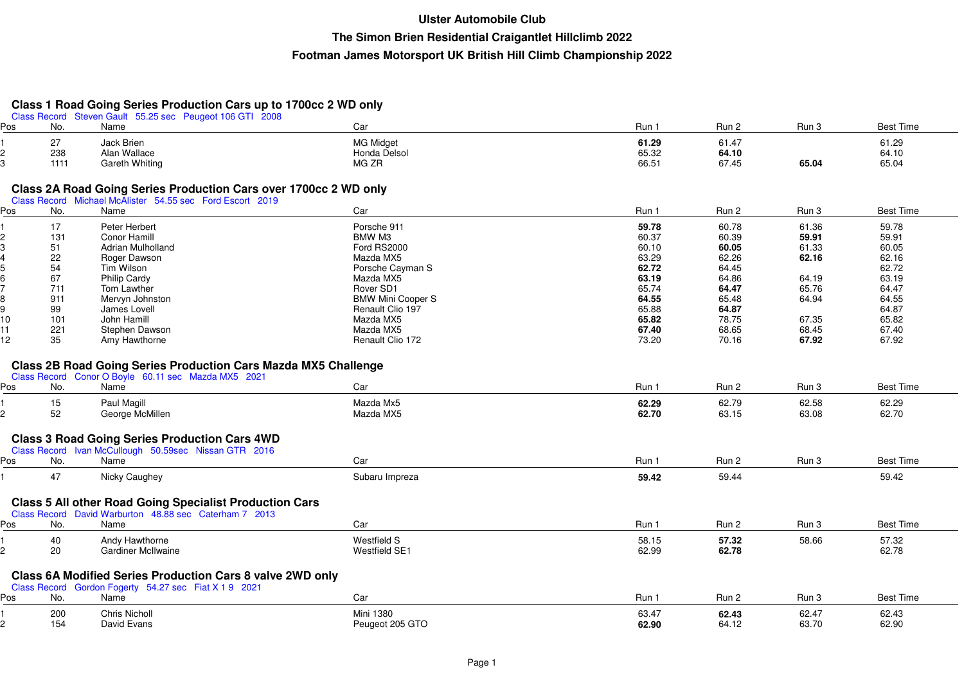## **Class 1 Road Going Series Production Cars up to 1700cc 2 WD only**

|     |      | Class Record Steven Gault 55.25 sec Peugeot 106 GTI 2008              |                          |       |       |       |                  |  |
|-----|------|-----------------------------------------------------------------------|--------------------------|-------|-------|-------|------------------|--|
| Pos | No.  | Name                                                                  | Car                      | Run 1 | Run 2 | Run 3 | <b>Best Time</b> |  |
|     | 27   | Jack Brien                                                            | <b>MG Midget</b>         | 61.29 | 61.47 |       | 61.29            |  |
| 2   | 238  | Alan Wallace                                                          | Honda Delsol             | 65.32 | 64.10 |       | 64.10            |  |
|     | 1111 | <b>Gareth Whiting</b>                                                 | MG ZR                    | 66.51 | 67.45 | 65.04 | 65.04            |  |
|     |      |                                                                       |                          |       |       |       |                  |  |
|     |      | Class 2A Road Going Series Production Cars over 1700cc 2 WD only      |                          |       |       |       |                  |  |
|     |      | Class Record Michael McAlister 54.55 sec Ford Escort 2019             |                          |       |       |       |                  |  |
| Pos | No.  | Name                                                                  | Car                      | Run 1 | Run 2 | Run 3 | <b>Best Time</b> |  |
|     |      |                                                                       |                          |       |       |       |                  |  |
|     | 17   | Peter Herbert                                                         | Porsche 911              | 59.78 | 60.78 | 61.36 | 59.78            |  |
|     | 131  | <b>Conor Hamill</b>                                                   | BMW M3                   | 60.37 | 60.39 | 59.91 | 59.91            |  |
|     | 51   | Adrian Mulholland                                                     | Ford RS2000              | 60.10 | 60.05 | 61.33 | 60.05            |  |
|     | 22   | Roger Dawson                                                          | Mazda MX5                | 63.29 | 62.26 | 62.16 | 62.16            |  |
|     | 54   | Tim Wilson                                                            | Porsche Cayman S         | 62.72 | 64.45 |       | 62.72            |  |
|     | 67   | <b>Philip Cardy</b>                                                   | Mazda MX5                | 63.19 | 64.86 | 64.19 | 63.19            |  |
|     | 711  | Tom Lawther                                                           | Rover SD1                | 65.74 | 64.47 | 65.76 | 64.47            |  |
|     | 911  | Mervyn Johnston                                                       | <b>BMW Mini Cooper S</b> | 64.55 | 65.48 | 64.94 | 64.55            |  |
| 9   | 99   | James Lovell                                                          | Renault Clio 197         | 65.88 | 64.87 |       | 64.87            |  |
| 10  | 101  | John Hamill                                                           | Mazda MX5                | 65.82 | 78.75 | 67.35 | 65.82            |  |
| 11  | 221  | Stephen Dawson                                                        | Mazda MX5                | 67.40 | 68.65 | 68.45 | 67.40            |  |
| 12  | 35   | Amy Hawthorne                                                         | Renault Clio 172         | 73.20 | 70.16 | 67.92 | 67.92            |  |
|     |      |                                                                       |                          |       |       |       |                  |  |
|     |      | <b>Class 2B Road Going Series Production Cars Mazda MX5 Challenge</b> |                          |       |       |       |                  |  |
|     |      | Class Record Conor O Boyle 60.11 sec Mazda MX5 2021                   |                          |       |       |       |                  |  |
| Pos | No.  | Name                                                                  | Car                      | Run 1 | Run 2 | Run 3 | <b>Best Time</b> |  |
|     | 15   | Paul Magill                                                           | Mazda Mx5                | 62.29 | 62.79 | 62.58 | 62.29            |  |
| 2   | 52   | George McMillen                                                       | Mazda MX5                | 62.70 | 63.15 | 63.08 | 62.70            |  |
|     |      |                                                                       |                          |       |       |       |                  |  |
|     |      |                                                                       |                          |       |       |       |                  |  |
|     |      | <b>Class 3 Road Going Series Production Cars 4WD</b>                  |                          |       |       |       |                  |  |
|     |      | Class Record Ivan McCullough 50.59sec Nissan GTR 2016                 |                          |       |       |       |                  |  |
| Pos | No.  | Name                                                                  | Car                      | Run 1 | Run 2 | Run 3 | <b>Best Time</b> |  |
|     | 47   | Nicky Caughey                                                         | Subaru Impreza           | 59.42 | 59.44 |       | 59.42            |  |
|     |      |                                                                       |                          |       |       |       |                  |  |
|     |      | <b>Class 5 All other Road Going Specialist Production Cars</b>        |                          |       |       |       |                  |  |
|     |      | Class Record David Warburton 48.88 sec Caterham 7 2013                |                          |       |       |       |                  |  |
| Pos | No.  | Name                                                                  | Car                      | Run 1 | Run 2 | Run 3 | <b>Best Time</b> |  |
|     |      |                                                                       |                          |       |       |       |                  |  |
|     | 40   | Andy Hawthorne                                                        | Westfield S              | 58.15 | 57.32 | 58.66 | 57.32            |  |
| 2   | 20   | <b>Gardiner McIlwaine</b>                                             | <b>Westfield SE1</b>     | 62.99 | 62.78 |       | 62.78            |  |
|     |      |                                                                       |                          |       |       |       |                  |  |
|     |      | <b>Class 6A Modified Series Production Cars 8 valve 2WD only</b>      |                          |       |       |       |                  |  |
|     |      | Class Record Gordon Fogerty 54.27 sec Fiat X 1 9 2021                 |                          |       |       |       |                  |  |
| Pos | No.  | Name                                                                  | Car                      | Run 1 | Run 2 | Run 3 | <b>Best Time</b> |  |
|     |      |                                                                       |                          |       |       |       |                  |  |
|     | 200  | <b>Chris Nicholl</b>                                                  | Mini 1380                | 63.47 | 62.43 | 62.47 | 62.43            |  |
| 2   | 154  | David Evans                                                           | Peugeot 205 GTO          | 62.90 | 64.12 | 63.70 | 62.90            |  |

<sup>154</sup> David Evans Peugeot 205 GTO **62.90** 64.12 63.70 62.90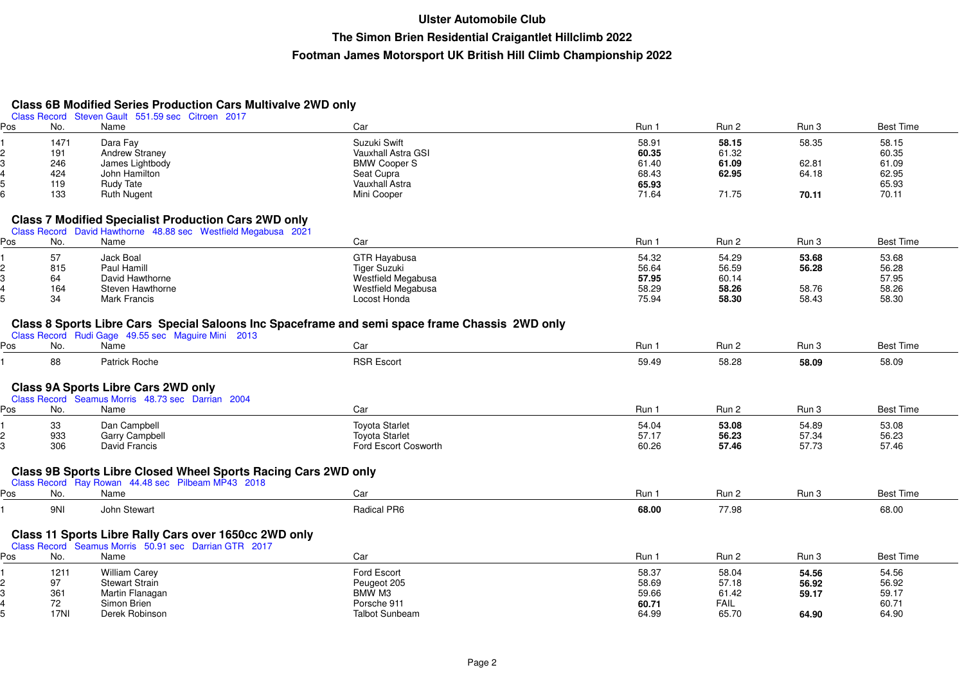# **Class 6B Modified Series Production Cars Multivalve 2WD only** Class Record Steven Gault 551.59 sec Citroen 2017

| Class Record Olevell Gault | <b>POTTOP SEC OILIDELL CUT</b>                                 |                                                                                                |       |             |                |                  |
|----------------------------|----------------------------------------------------------------|------------------------------------------------------------------------------------------------|-------|-------------|----------------|------------------|
| Pos<br>No.                 | Name                                                           | Car                                                                                            | Run 1 | Run 2       | Run 3          | <b>Best Time</b> |
| 1471                       | Dara Fay                                                       | Suzuki Swift                                                                                   | 58.91 | 58.15       | 58.35          | 58.15            |
| 191                        | Andrew Straney                                                 | Vauxhall Astra GSI                                                                             | 60.35 | 61.32       |                | 60.35            |
| 246                        | James Lightbody                                                | <b>BMW Cooper S</b>                                                                            | 61.40 | 61.09       | 62.81          | 61.09            |
| 424                        | John Hamilton                                                  | Seat Cupra                                                                                     | 68.43 | 62.95       | 64.18          | 62.95            |
| 119                        | <b>Rudy Tate</b>                                               | <b>Vauxhall Astra</b>                                                                          | 65.93 |             |                | 65.93            |
| 133                        | <b>Ruth Nugent</b>                                             | Mini Cooper                                                                                    | 71.64 | 71.75       | 70.11          | 70.11            |
|                            |                                                                |                                                                                                |       |             |                |                  |
|                            | <b>Class 7 Modified Specialist Production Cars 2WD only</b>    |                                                                                                |       |             |                |                  |
|                            | Class Record David Hawthorne 48.88 sec Westfield Megabusa 2021 |                                                                                                |       |             |                |                  |
| No.<br>Pos                 | Name                                                           | Car                                                                                            | Run 1 | Run 2       | Run 3          | <b>Best Time</b> |
| 57                         | Jack Boal                                                      | <b>GTR Hayabusa</b>                                                                            | 54.32 | 54.29       | 53.68          | 53.68            |
| 815                        | Paul Hamill                                                    | Tiger Suzuki                                                                                   | 56.64 | 56.59       | 56.28          | 56.28            |
| 64                         | David Hawthorne                                                | Westfield Megabusa                                                                             | 57.95 | 60.14       |                | 57.95            |
| 164                        | Steven Hawthorne                                               | Westfield Megabusa                                                                             | 58.29 | 58.26       | 58.76          | 58.26            |
| 34                         | <b>Mark Francis</b>                                            | Locost Honda                                                                                   | 75.94 | 58.30       | 58.43          | 58.30            |
|                            |                                                                |                                                                                                |       |             |                |                  |
|                            |                                                                | Class 8 Sports Libre Cars Special Saloons Inc Spaceframe and semi space frame Chassis 2WD only |       |             |                |                  |
|                            | Class Record Rudi Gage 49.55 sec Maguire Mini 2013             |                                                                                                |       |             |                |                  |
| Pos<br>No.                 | Name                                                           | Car                                                                                            | Run 1 | Run 2       | Run 3          | <b>Best Time</b> |
| 88                         | Patrick Roche                                                  | <b>RSR Escort</b>                                                                              | 59.49 | 58.28       | 58.09          | 58.09            |
|                            |                                                                |                                                                                                |       |             |                |                  |
|                            |                                                                |                                                                                                |       |             |                |                  |
|                            | <b>Class 9A Sports Libre Cars 2WD only</b>                     |                                                                                                |       |             |                |                  |
|                            | Class Record Seamus Morris 48.73 sec Darrian 2004              |                                                                                                |       |             |                |                  |
| Pos<br>No.                 | Name                                                           | Car                                                                                            | Run 1 | Run 2       | Run 3          | <b>Best Time</b> |
| 33                         | Dan Campbell                                                   | <b>Toyota Starlet</b>                                                                          | 54.04 | 53.08       | 54.89          | 53.08            |
| 933                        | <b>Garry Campbell</b>                                          | <b>Toyota Starlet</b>                                                                          | 57.17 | 56.23       | 57.34          | 56.23            |
| 306                        | David Francis                                                  | Ford Escort Cosworth                                                                           | 60.26 | 57.46       | 57.73          | 57.46            |
|                            |                                                                |                                                                                                |       |             |                |                  |
|                            | Class 9B Sports Libre Closed Wheel Sports Racing Cars 2WD only |                                                                                                |       |             |                |                  |
|                            | Class Record Ray Rowan 44.48 sec Pilbeam MP43 2018             |                                                                                                |       |             |                |                  |
| No.<br>Pos                 | Name                                                           | Car                                                                                            | Run 1 | Run 2       | Run 3          | <b>Best Time</b> |
| 9NI                        | John Stewart                                                   | Radical PR6                                                                                    | 68.00 | 77.98       |                | 68.00            |
|                            |                                                                |                                                                                                |       |             |                |                  |
|                            | Class 11 Sports Libre Rally Cars over 1650cc 2WD only          |                                                                                                |       |             |                |                  |
|                            | Class Record Seamus Morris 50.91 sec Darrian GTR 2017          |                                                                                                |       |             |                |                  |
| No.<br>Pos                 | Name                                                           | Car                                                                                            | Run 1 | Run 2       | Run 3          | <b>Best Time</b> |
| 1211                       | <b>William Carey</b>                                           | Ford Escort                                                                                    | 58.37 | 58.04       |                | 54.56            |
| 97                         | <b>Stewart Strain</b>                                          | Peugeot 205                                                                                    | 58.69 | 57.18       | 54.56<br>56.92 | 56.92            |
| 361                        |                                                                | BMW M3                                                                                         |       |             |                |                  |
|                            | Martin Flanagan                                                |                                                                                                | 59.66 | 61.42       | 59.17          | 59.17            |
| 72                         | Simon Brien                                                    | Porsche 911                                                                                    | 60.71 | <b>FAIL</b> |                | 60.71            |
| 17NI                       | Derek Robinson                                                 | <b>Talbot Sunbeam</b>                                                                          | 64.99 | 65.70       | 64.90          | 64.90            |

17NI Derek Robinson Talbot Sunbeam 64.99 65.70 **64.90** 64.90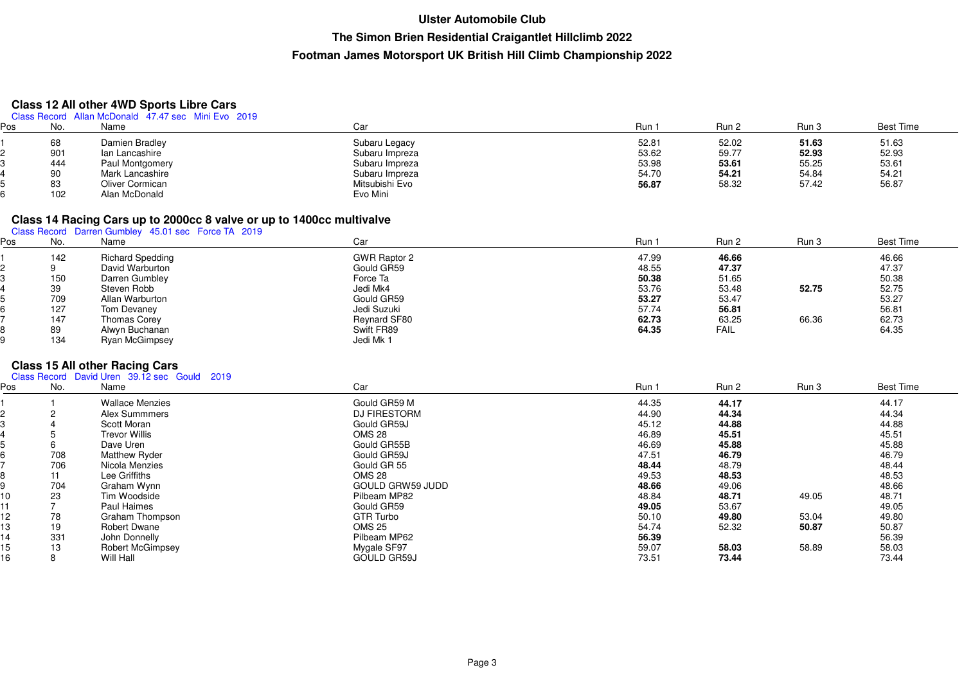#### **Class 12 All other 4WD Sports Libre Cars**

| Class Record Allan McDonald 47.47 sec Mini Evo 2019 |  |  |
|-----------------------------------------------------|--|--|
|-----------------------------------------------------|--|--|

| Ρos | No. | Name            | Car            | Run   | Run 2 | Run 3 | <b>Best Time</b> |
|-----|-----|-----------------|----------------|-------|-------|-------|------------------|
|     | 68  | Damien Bradley  | Subaru Legacy  | 52.81 | 52.02 | 51.63 | 51.63            |
|     | 901 | lan Lancashire  | Subaru Impreza | 53.62 | 59.77 | 52.93 | 52.93            |
|     | 444 | Paul Montgomery | Subaru Impreza | 53.98 | 53.61 | 55.25 | 53.61            |
|     | 90  | Mark Lancashire | Subaru Impreza | 54.70 | 54.21 | 54.84 | 54.21            |
|     | 83  | Oliver Cormican | Mitsubishi Evo | 56.87 | 58.32 | 57.42 | 56.87            |
|     | 102 | Alan McDonald   | Evo Mini       |       |       |       |                  |

# **Class 14 Racing Cars up to 2000cc 8 valve or up to 1400cc multivalve** Class Record Darren Gumbley 45.01 sec Force TA 2019

| os | No.    | Name                    | Car                 | Run   | Run 2       | Run 3 | <b>Best Time</b> |
|----|--------|-------------------------|---------------------|-------|-------------|-------|------------------|
|    | 142    | <b>Richard Spedding</b> | <b>GWR Raptor 2</b> | 47.99 | 46.66       |       | 46.66            |
|    |        | David Warburton         | Gould GR59          | 48.55 | 47.37       |       | 47.37            |
|    | 150    | Darren Gumbley          | Force Ta            | 50.38 | 51.65       |       | 50.38            |
|    | $39\,$ | Steven Robb             | Jedi Mk4            | 53.76 | 53.48       | 52.75 | 52.75            |
|    | 709    | Allan Warburton         | Gould GR59          | 53.27 | 53.47       |       | 53.27            |
|    | 127    | Tom Devaney             | Jedi Suzuki         | 57.74 | 56.81       |       | 56.81            |
|    | 147    | <b>Thomas Corey</b>     | Reynard SF80        | 62.73 | 63.25       | 66.36 | 62.73            |
|    | 89     | Alwyn Buchanan          | Swift FR89          | 64.35 | <b>FAIL</b> |       | 64.35            |
|    | 134    | Ryan McGimpsey          | Jedi Mk 1           |       |             |       |                  |

# **Class 15 All other Racing Cars** Class Record David Uren 39.12 sec Gould 2019

| Pos | No. | Name                    | Car                     | Run 1 | Run 2 | Run 3 | <b>Best Time</b> |
|-----|-----|-------------------------|-------------------------|-------|-------|-------|------------------|
|     |     | <b>Wallace Menzies</b>  | Gould GR59 M            | 44.35 | 44.17 |       | 44.17            |
|     |     | Alex Summmers           | <b>DJ FIRESTORM</b>     | 44.90 | 44.34 |       | 44.34            |
|     |     | Scott Moran             | Gould GR59J             | 45.12 | 44.88 |       | 44.88            |
|     |     | <b>Trevor Willis</b>    | <b>OMS 28</b>           | 46.89 | 45.51 |       | 45.51            |
|     |     | Dave Uren               | Gould GR55B             | 46.69 | 45.88 |       | 45.88            |
|     | 708 | <b>Matthew Ryder</b>    | Gould GR59J             | 47.51 | 46.79 |       | 46.79            |
|     | 706 | Nicola Menzies          | Gould GR 55             | 48.44 | 48.79 |       | 48.44            |
|     | 11  | Lee Griffiths           | <b>OMS 28</b>           | 49.53 | 48.53 |       | 48.53            |
|     | 704 | Graham Wynn             | <b>GOULD GRW59 JUDD</b> | 48.66 | 49.06 |       | 48.66            |
| 10  | 23  | Tim Woodside            | Pilbeam MP82            | 48.84 | 48.71 | 49.05 | 48.71            |
| 11  |     | Paul Haimes             | Gould GR59              | 49.05 | 53.67 |       | 49.05            |
| 12  | 78  | Graham Thompson         | <b>GTR Turbo</b>        | 50.10 | 49.80 | 53.04 | 49.80            |
| 13  | 19  | <b>Robert Dwane</b>     | <b>OMS 25</b>           | 54.74 | 52.32 | 50.87 | 50.87            |
| 14  | 331 | John Donnelly           | Pilbeam MP62            | 56.39 |       |       | 56.39            |
| 15  | 13  | <b>Robert McGimpsey</b> | Mygale SF97             | 59.07 | 58.03 | 58.89 | 58.03            |
| 16  | 8   | Will Hall               | <b>GOULD GR59J</b>      | 73.51 | 73.44 |       | 73.44            |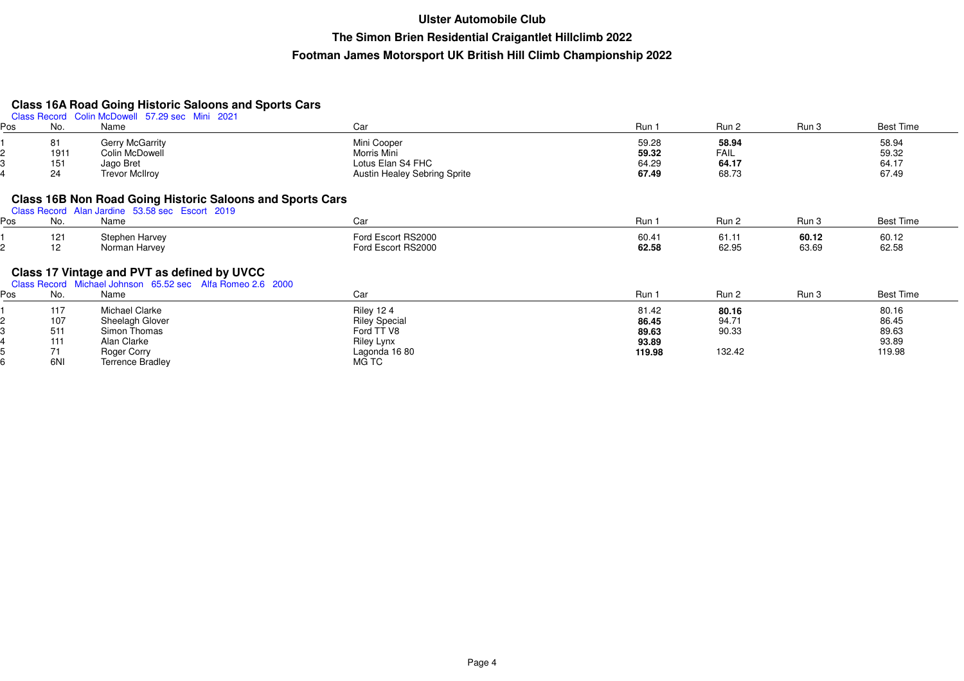# **Class 16A Road Going Historic Saloons and Sports Cars** Class Record Colin McDowell 57.29 sec Mini 2021

| Pos | No.  | Class Record Collin McDowell 37.29 Sec Willi 2021<br>Name        | Car                                 | Run 1  | Run 2       | Run 3 | <b>Best Time</b> |
|-----|------|------------------------------------------------------------------|-------------------------------------|--------|-------------|-------|------------------|
|     | 81   | <b>Gerry McGarrity</b>                                           | Mini Cooper                         | 59.28  | 58.94       |       | 58.94            |
|     | 1911 | Colin McDowell                                                   | Morris Mini                         | 59.32  | <b>FAIL</b> |       | 59.32            |
|     | 151  | Jago Bret                                                        | Lotus Elan S4 FHC                   | 64.29  | 64.17       |       | 64.17            |
|     | 24   | <b>Trevor McIlroy</b>                                            | <b>Austin Healey Sebring Sprite</b> | 67.49  | 68.73       |       | 67.49            |
|     |      | <b>Class 16B Non Road Going Historic Saloons and Sports Cars</b> |                                     |        |             |       |                  |
|     |      | Class Record Alan Jardine 53.58 sec Escort 2019                  |                                     |        |             |       |                  |
| Pos | No.  | Name                                                             | Car                                 | Run 1  | Run 2       | Run 3 | <b>Best Time</b> |
|     | 121  | Stephen Harvey                                                   | Ford Escort RS2000                  | 60.41  | 61.11       | 60.12 | 60.12            |
|     | 12   | Norman Harvey                                                    | Ford Escort RS2000                  | 62.58  | 62.95       | 63.69 | 62.58            |
|     |      | Class 17 Vintage and PVT as defined by UVCC                      |                                     |        |             |       |                  |
|     |      | Class Record Michael Johnson 65.52 sec Alfa Romeo 2.6 2000       |                                     |        |             |       |                  |
| Pos | No.  | Name                                                             | Car                                 | Run 1  | Run 2       | Run 3 | <b>Best Time</b> |
|     | 117  | Michael Clarke                                                   | <b>Riley 124</b>                    | 81.42  | 80.16       |       | 80.16            |
|     | 107  | Sheelagh Glover                                                  | <b>Riley Special</b>                | 86.45  | 94.71       |       | 86.45            |
|     | 511  | Simon Thomas                                                     | Ford TT V8                          | 89.63  | 90.33       |       | 89.63            |
|     | 111  | Alan Clarke                                                      | Riley Lynx                          | 93.89  |             |       | 93.89            |
|     | 71   | Roger Corry                                                      | Lagonda 16 80                       | 119.98 | 132.42      |       | 119.98           |
|     | 6NI  | <b>Terrence Bradley</b>                                          | MG TC                               |        |             |       |                  |
|     |      |                                                                  |                                     |        |             |       |                  |